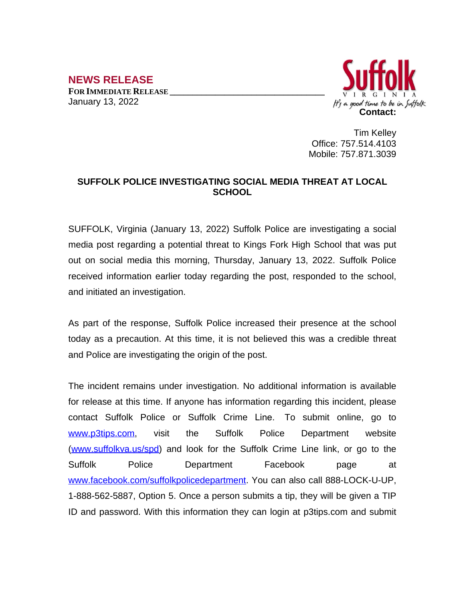**NEWS RELEASE FOR IMMEDIATE RELEASE \_\_\_\_\_\_\_\_\_\_\_\_\_\_\_\_\_\_\_\_\_\_\_\_\_\_\_\_\_\_\_\_\_\_** January 13, 2022



Tim Kelley Office: 757.514.4103 Mobile: 757.871.3039

## **SUFFOLK POLICE INVESTIGATING SOCIAL MEDIA THREAT AT LOCAL SCHOOL**

SUFFOLK, Virginia (January 13, 2022) Suffolk Police are investigating a social media post regarding a potential threat to Kings Fork High School that was put out on social media this morning, Thursday, January 13, 2022. Suffolk Police received information earlier today regarding the post, responded to the school, and initiated an investigation.

As part of the response, Suffolk Police increased their presence at the school today as a precaution. At this time, it is not believed this was a credible threat and Police are investigating the origin of the post.

The incident remains under investigation. No additional information is available for release at this time. If anyone has information regarding this incident, please contact Suffolk Police or Suffolk Crime Line. To submit online, go to [www.p3tips.com](http://www.p3tips.com), visit the Suffolk Police Department website ([www.suffolkva.us/spd](http://www.suffolkva.us/spd)) and look for the Suffolk Crime Line link, or go to the Suffolk Police Department Facebook page at [www.facebook.com/suffolkpolicedepartment](http://www.facebook.com/suffolkpolicedepartment). You can also call 888-LOCK-U-UP, 1-888-562-5887, Option 5. Once a person submits a tip, they will be given a TIP ID and password. With this information they can login at p3tips.com and submit